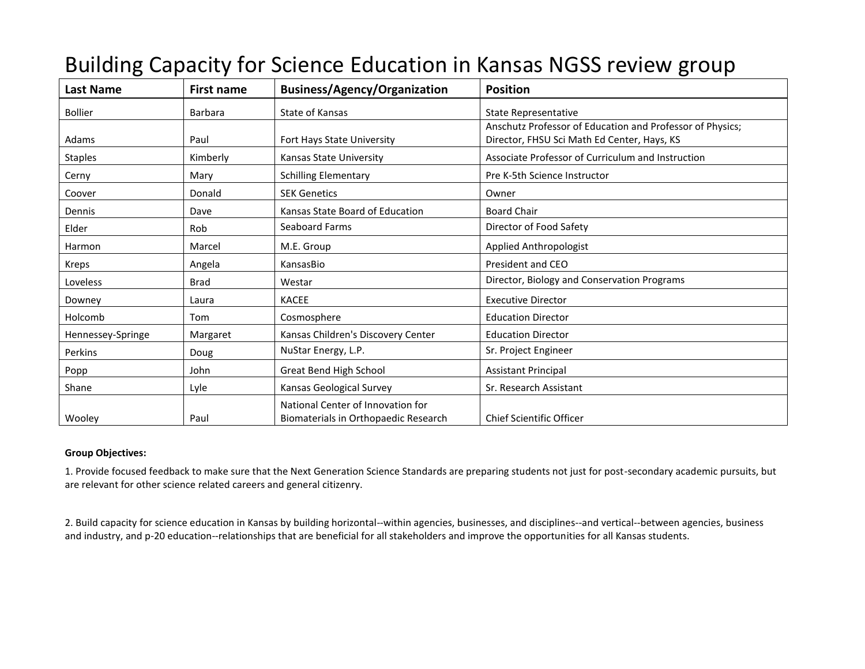| Last Name         | First name     | <b>Business/Agency/Organization</b>                                       | <b>Position</b>                                           |
|-------------------|----------------|---------------------------------------------------------------------------|-----------------------------------------------------------|
| <b>Bollier</b>    | <b>Barbara</b> | State of Kansas                                                           | <b>State Representative</b>                               |
|                   |                |                                                                           | Anschutz Professor of Education and Professor of Physics; |
| Adams             | Paul           | Fort Hays State University                                                | Director, FHSU Sci Math Ed Center, Hays, KS               |
| <b>Staples</b>    | Kimberly       | Kansas State University                                                   | Associate Professor of Curriculum and Instruction         |
| Cerny             | Mary           | <b>Schilling Elementary</b>                                               | Pre K-5th Science Instructor                              |
| Coover            | Donald         | <b>SEK Genetics</b>                                                       | Owner                                                     |
| Dennis            | Dave           | Kansas State Board of Education                                           | <b>Board Chair</b>                                        |
| Elder             | Rob            | <b>Seaboard Farms</b>                                                     | Director of Food Safety                                   |
| Harmon            | Marcel         | M.E. Group                                                                | Applied Anthropologist                                    |
| Kreps             | Angela         | KansasBio                                                                 | President and CEO                                         |
| Loveless          | Brad           | Westar                                                                    | Director, Biology and Conservation Programs               |
| Downey            | Laura          | <b>KACEE</b>                                                              | <b>Executive Director</b>                                 |
| Holcomb           | Tom            | Cosmosphere                                                               | <b>Education Director</b>                                 |
| Hennessey-Springe | Margaret       | Kansas Children's Discovery Center                                        | <b>Education Director</b>                                 |
| Perkins           | Doug           | NuStar Energy, L.P.                                                       | Sr. Project Engineer                                      |
| Popp              | John           | Great Bend High School                                                    | <b>Assistant Principal</b>                                |
| Shane             | Lyle           | Kansas Geological Survey                                                  | Sr. Research Assistant                                    |
| Wooley            | Paul           | National Center of Innovation for<br>Biomaterials in Orthopaedic Research | <b>Chief Scientific Officer</b>                           |

## Building Capacity for Science Education in Kansas NGSS review group

## **Group Objectives:**

1. Provide focused feedback to make sure that the Next Generation Science Standards are preparing students not just for post-secondary academic pursuits, but are relevant for other science related careers and general citizenry.

2. Build capacity for science education in Kansas by building horizontal--within agencies, businesses, and disciplines--and vertical--between agencies, business and industry, and p-20 education--relationships that are beneficial for all stakeholders and improve the opportunities for all Kansas students.